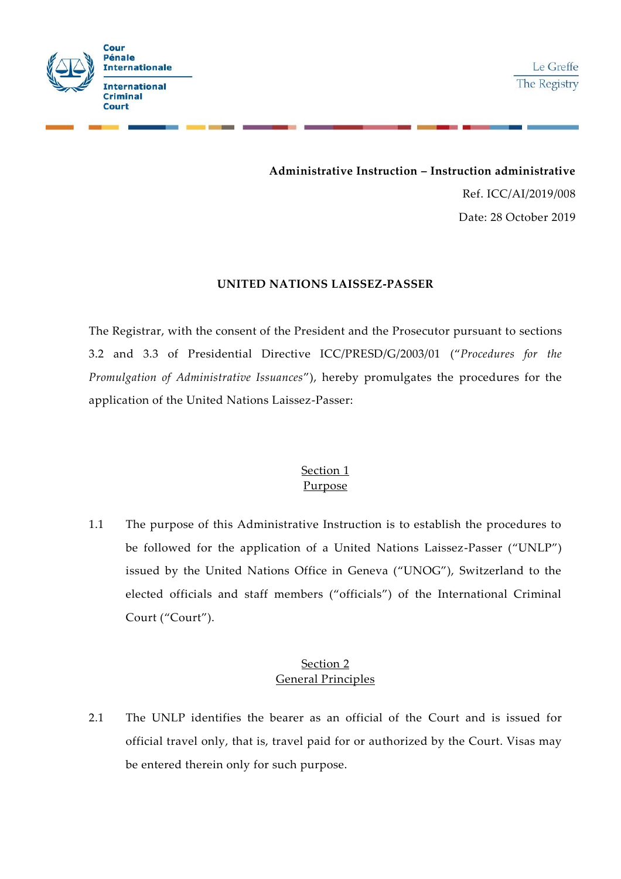

**Administrative Instruction – Instruction administrative** Ref. ICC/AI/2019/008

Date: 28 October 2019

### **UNITED NATIONS LAISSEZ-PASSER**

The Registrar, with the consent of the President and the Prosecutor pursuant to sections 3.2 and 3.3 of Presidential Directive ICC/PRESD/G/2003/01 ("*Procedures for the Promulgation of Administrative Issuances*"), hereby promulgates the procedures for the application of the United Nations Laissez-Passer:

# Section 1 Purpose

1.1 The purpose of this Administrative Instruction is to establish the procedures to be followed for the application of a United Nations Laissez-Passer ("UNLP") issued by the United Nations Office in Geneva ("UNOG"), Switzerland to the elected officials and staff members ("officials") of the International Criminal Court ("Court").

## Section 2 General Principles

2.1 The UNLP identifies the bearer as an official of the Court and is issued for official travel only, that is, travel paid for or authorized by the Court. Visas may be entered therein only for such purpose.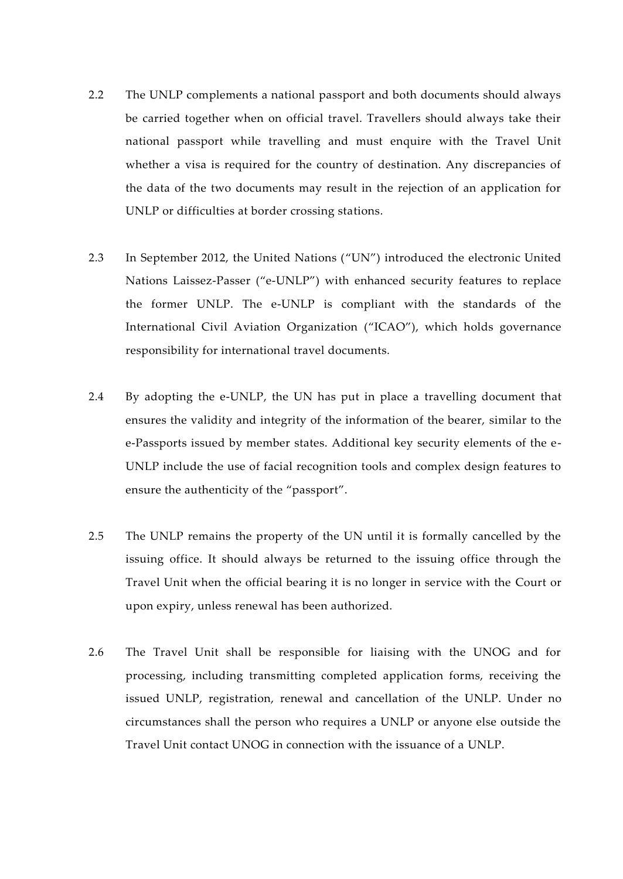- 2.2 The UNLP complements a national passport and both documents should always be carried together when on official travel. Travellers should always take their national passport while travelling and must enquire with the Travel Unit whether a visa is required for the country of destination. Any discrepancies of the data of the two documents may result in the rejection of an application for UNLP or difficulties at border crossing stations.
- 2.3 In September 2012, the United Nations ("UN") introduced the electronic United Nations Laissez-Passer ("e-UNLP") with enhanced security features to replace the former UNLP. The e-UNLP is compliant with the standards of the International Civil Aviation Organization ("ICAO"), which holds governance responsibility for international travel documents.
- 2.4 By adopting the e-UNLP, the UN has put in place a travelling document that ensures the validity and integrity of the information of the bearer, similar to the e-Passports issued by member states. Additional key security elements of the e- UNLP include the use of facial recognition tools and complex design features to ensure the authenticity of the "passport".
- 2.5 The UNLP remains the property of the UN until it is formally cancelled by the issuing office. It should always be returned to the issuing office through the Travel Unit when the official bearing it is no longer in service with the Court or upon expiry, unless renewal has been authorized.
- 2.6 The Travel Unit shall be responsible for liaising with the UNOG and for processing, including transmitting completed application forms, receiving the issued UNLP, registration, renewal and cancellation of the UNLP. Under no circumstances shall the person who requires a UNLP or anyone else outside the Travel Unit contact UNOG in connection with the issuance of a UNLP.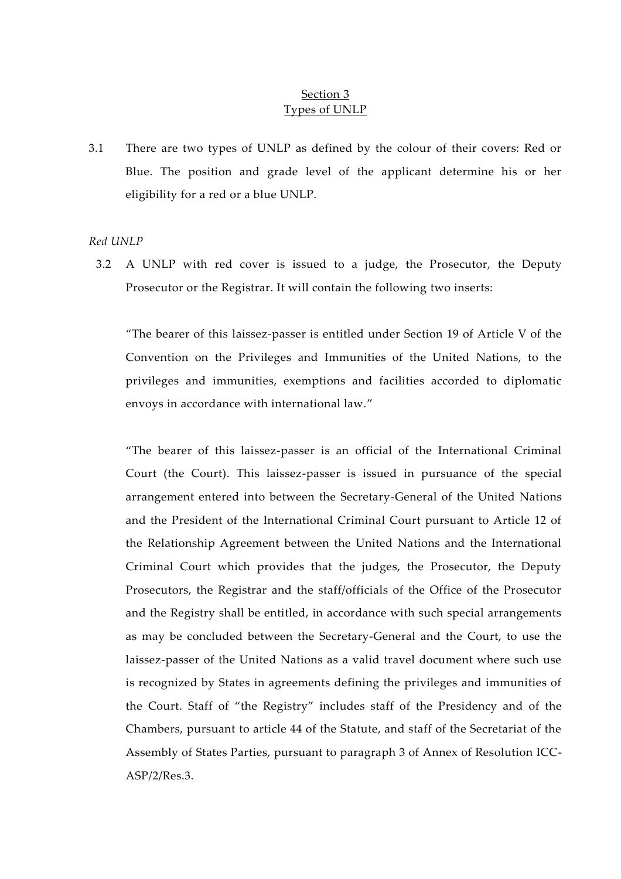### Section 3 Types of UNLP

3.1 There are two types of UNLP as defined by the colour of their covers: Red or Blue. The position and grade level of the applicant determine his or her eligibility for a red or a blue UNLP.

#### *Red UNLP*

3.2 A UNLP with red cover is issued to a judge, the Prosecutor, the Deputy Prosecutor or the Registrar. It will contain the following two inserts:

"The bearer of this laissez-passer is entitled under Section 19 of Article V of the Convention on the Privileges and Immunities of the United Nations, to the privileges and immunities, exemptions and facilities accorded to diplomatic envoys in accordance with international law."

"The bearer of this laissez-passer is an official of the International Criminal Court (the Court). This laissez-passer is issued in pursuance of the special arrangement entered into between the Secretary-General of the United Nations and the President of the International Criminal Court pursuant to Article 12 of the Relationship Agreement between the United Nations and the International Criminal Court which provides that the judges, the Prosecutor, the Deputy Prosecutors, the Registrar and the staff/officials of the Office of the Prosecutor and the Registry shall be entitled, in accordance with such special arrangements as may be concluded between the Secretary-General and the Court, to use the laissez-passer of the United Nations as a valid travel document where such use is recognized by States in agreements defining the privileges and immunities of the Court. Staff of "the Registry" includes staff of the Presidency and of the Chambers, pursuant to article 44 of the Statute, and staff of the Secretariat of the Assembly of States Parties, pursuant to paragraph 3 of Annex of Resolution ICC- ASP/2/Res.3.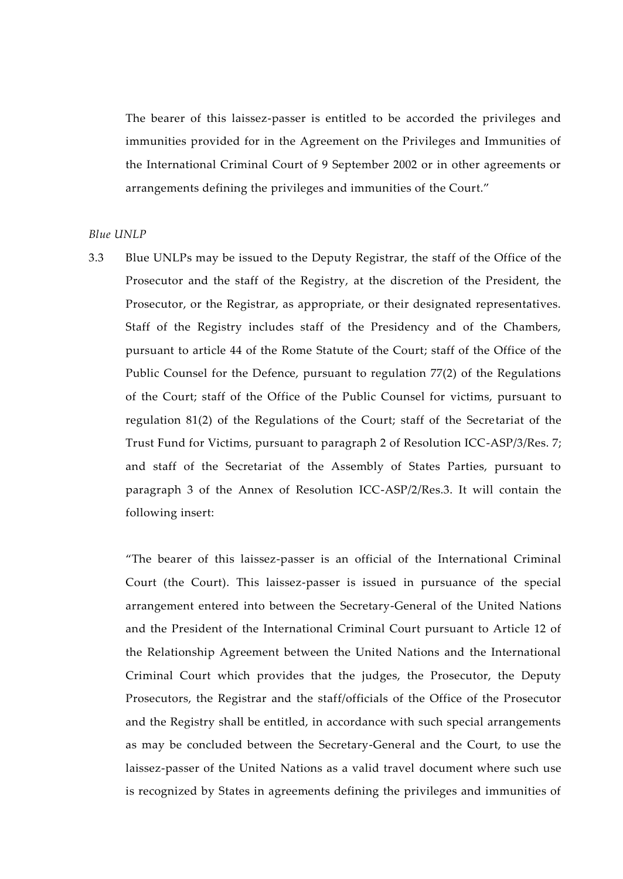The bearer of this laissez-passer is entitled to be accorded the privileges and immunities provided for in the Agreement on the Privileges and Immunities of the International Criminal Court of 9 September 2002 or in other agreements or arrangements defining the privileges and immunities of the Court."

#### *Blue UNLP*

3.3 Blue UNLPs may be issued to the Deputy Registrar, the staff of the Office of the Prosecutor and the staff of the Registry, at the discretion of the President, the Prosecutor, or the Registrar, as appropriate, or their designated representatives. Staff of the Registry includes staff of the Presidency and of the Chambers, pursuant to article 44 of the Rome Statute of the Court; staff of the Office of the Public Counsel for the Defence, pursuant to regulation 77(2) of the Regulations of the Court; staff of the Office of the Public Counsel for victims, pursuant to regulation 81(2) of the Regulations of the Court; staff of the Secretariat of the Trust Fund for Victims, pursuant to paragraph 2 of Resolution ICC-ASP/3/Res. 7; and staff of the Secretariat of the Assembly of States Parties, pursuant to paragraph 3 of the Annex of Resolution ICC-ASP/2/Res.3. It will contain the following insert:

"The bearer of this laissez-passer is an official of the International Criminal Court (the Court). This laissez-passer is issued in pursuance of the special arrangement entered into between the Secretary-General of the United Nations and the President of the International Criminal Court pursuant to Article 12 of the Relationship Agreement between the United Nations and the International Criminal Court which provides that the judges, the Prosecutor, the Deputy Prosecutors, the Registrar and the staff/officials of the Office of the Prosecutor and the Registry shall be entitled, in accordance with such special arrangements as may be concluded between the Secretary-General and the Court, to use the laissez-passer of the United Nations as a valid travel document where such use is recognized by States in agreements defining the privileges and immunities of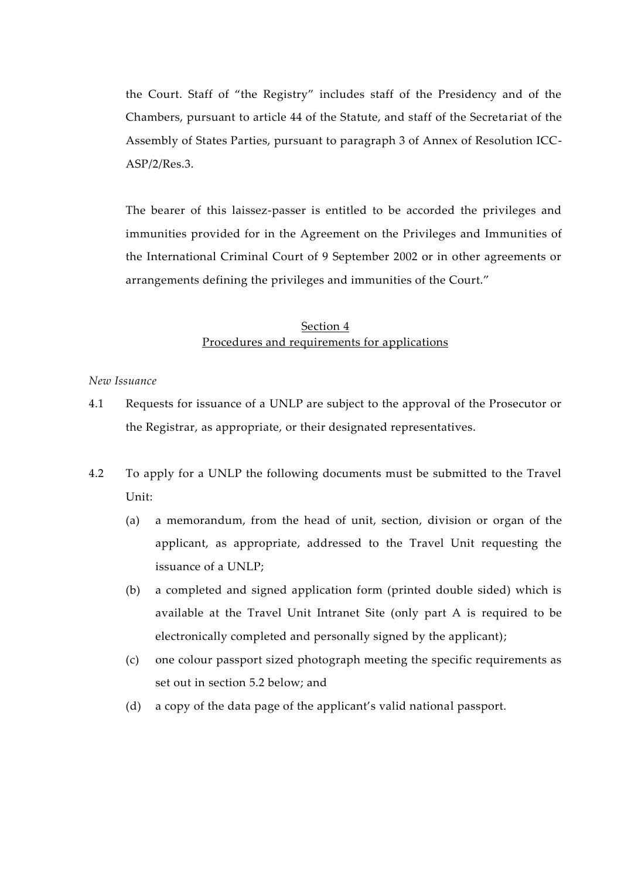the Court. Staff of "the Registry" includes staff of the Presidency and of the Chambers, pursuant to article 44 of the Statute, and staff of the Secretariat of the Assembly of States Parties, pursuant to paragraph 3 of Annex of Resolution ICC- ASP/2/Res.3.

The bearer of this laissez-passer is entitled to be accorded the privileges and immunities provided for in the Agreement on the Privileges and Immunities of the International Criminal Court of 9 September 2002 or in other agreements or arrangements defining the privileges and immunities of the Court."

# Section 4 Procedures and requirements for applications

#### *New Issuance*

- 4.1 Requests for issuance of a UNLP are subject to the approval of the Prosecutor or the Registrar, as appropriate, or their designated representatives.
- 4.2 To apply for a UNLP the following documents must be submitted to the Travel Unit:
	- (a) a memorandum, from the head of unit, section, division or organ of the applicant, as appropriate, addressed to the Travel Unit requesting the issuance of a UNLP;
	- (b) a completed and signed application form (printed double sided) which is available at the Travel Unit Intranet Site (only part A is required to be electronically completed and personally signed by the applicant);
	- (c) one colour passport sized photograph meeting the specific requirements as set out in section 5.2 below; and
	- (d) a copy of the data page of the applicant's valid national passport.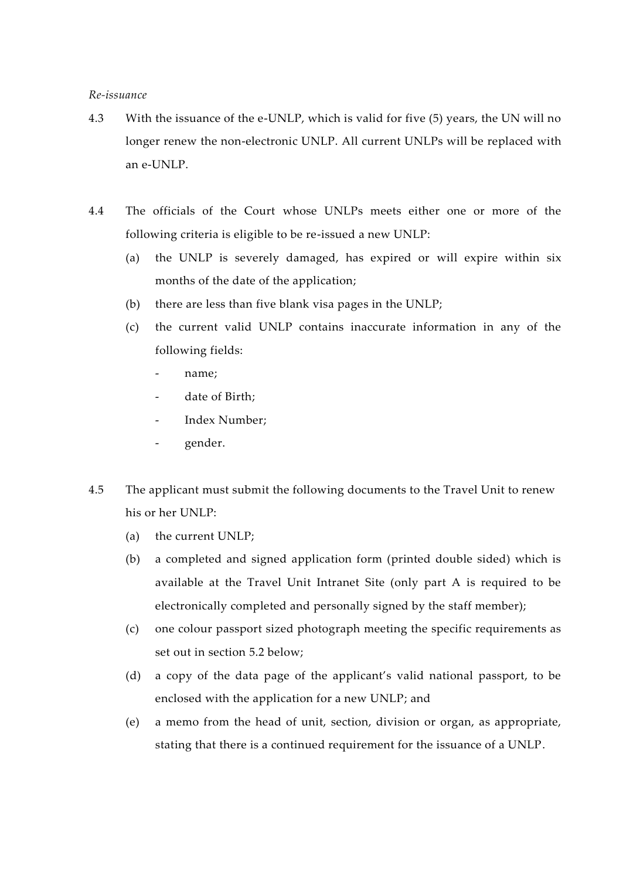#### *Re-issuance*

- 4.3 With the issuance of the e-UNLP, which is valid for five (5) years, the UN will no longer renew the non-electronic UNLP. All current UNLPs will be replaced with an e-UNLP.
- 4.4 The officials of the Court whose UNLPs meets either one or more of the following criteria is eligible to be re-issued a new UNLP:
	- (a) the UNLP is severely damaged, has expired or will expire within six months of the date of the application;
	- (b) there are less than five blank visa pages in the UNLP;
	- (c) the current valid UNLP contains inaccurate information in any of the following fields:
		- name;
		- date of Birth;
		- Index Number;
		- gender.
- 4.5 The applicant must submit the following documents to the Travel Unit to renew his or her UNLP:
	- (a) the current UNLP;
	- (b) a completed and signed application form (printed double sided) which is available at the Travel Unit Intranet Site (only part A is required to be electronically completed and personally signed by the staff member);
	- (c) one colour passport sized photograph meeting the specific requirements as set out in section 5.2 below;
	- (d) a copy of the data page of the applicant's valid national passport, to be enclosed with the application for a new UNLP; and
	- (e) a memo from the head of unit, section, division or organ, as appropriate, stating that there is a continued requirement for the issuance of a UNLP.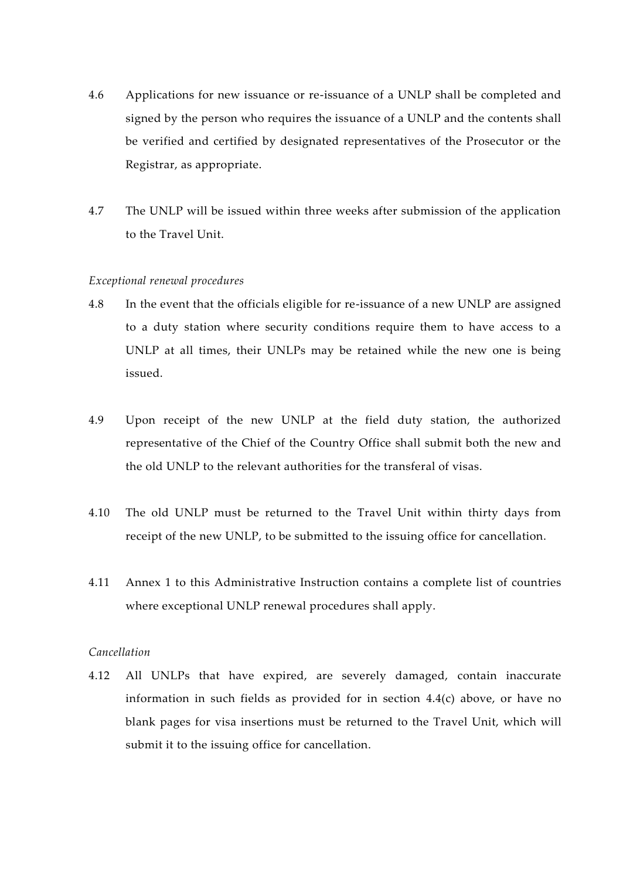- 4.6 Applications for new issuance or re-issuance of a UNLP shall be completed and signed by the person who requires the issuance of a UNLP and the contents shall be verified and certified by designated representatives of the Prosecutor or the Registrar, as appropriate.
- 4.7 The UNLP will be issued within three weeks after submission of the application to the Travel Unit.

#### *Exceptional renewal procedures*

- 4.8 In the event that the officials eligible for re-issuance of a new UNLP are assigned to a duty station where security conditions require them to have access to a UNLP at all times, their UNLPs may be retained while the new one is being issued.
- 4.9 Upon receipt of the new UNLP at the field duty station, the authorized representative of the Chief of the Country Office shall submit both the new and the old UNLP to the relevant authorities for the transferal of visas.
- 4.10 The old UNLP must be returned to the Travel Unit within thirty days from receipt of the new UNLP, to be submitted to the issuing office for cancellation.
- 4.11 Annex 1 to this Administrative Instruction contains a complete list of countries where exceptional UNLP renewal procedures shall apply.

#### *Cancellation*

4.12 All UNLPs that have expired, are severely damaged, contain inaccurate information in such fields as provided for in section 4.4(c) above, or have no blank pages for visa insertions must be returned to the Travel Unit, which will submit it to the issuing office for cancellation.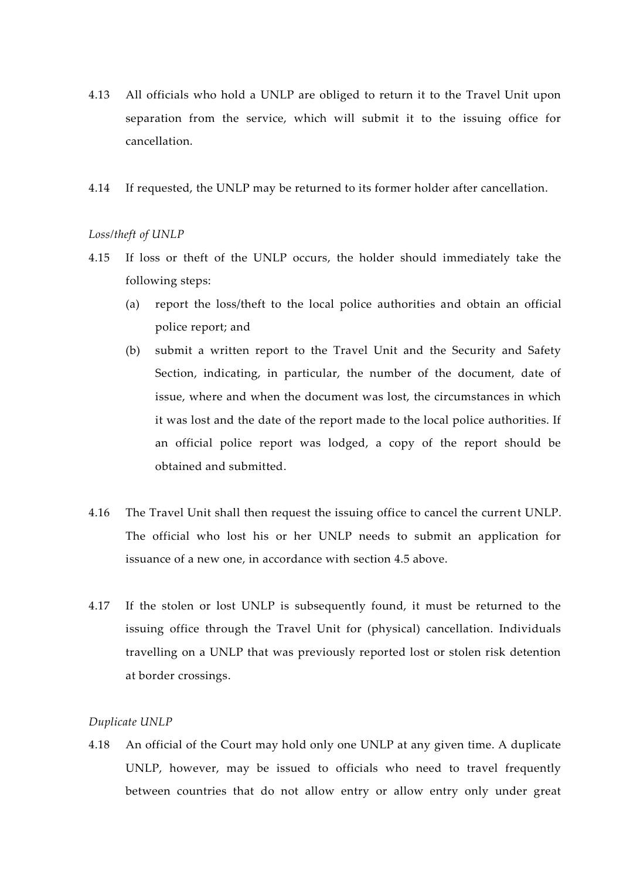- 4.13 All officials who hold a UNLP are obliged to return it to the Travel Unit upon separation from the service, which will submit it to the issuing office for cancellation.
- 4.14 If requested, the UNLP may be returned to its former holder after cancellation.

#### *Loss/theft of UNLP*

- 4.15 If loss or theft of the UNLP occurs, the holder should immediately take the following steps:
	- (a) report the loss/theft to the local police authorities and obtain an official police report; and
	- (b) submit a written report to the Travel Unit and the Security and Safety Section, indicating, in particular, the number of the document, date of issue, where and when the document was lost, the circumstances in which it was lost and the date of the report made to the local police authorities. If an official police report was lodged, a copy of the report should be obtained and submitted.
- 4.16 The Travel Unit shall then request the issuing office to cancel the current UNLP. The official who lost his or her UNLP needs to submit an application for issuance of a new one, in accordance with section 4.5 above.
- 4.17 If the stolen or lost UNLP is subsequently found, it must be returned to the issuing office through the Travel Unit for (physical) cancellation. Individuals travelling on a UNLP that was previously reported lost or stolen risk detention at border crossings.

### *Duplicate UNLP*

4.18 An official of the Court may hold only one UNLP at any given time. A duplicate UNLP, however, may be issued to officials who need to travel frequently between countries that do not allow entry or allow entry only under great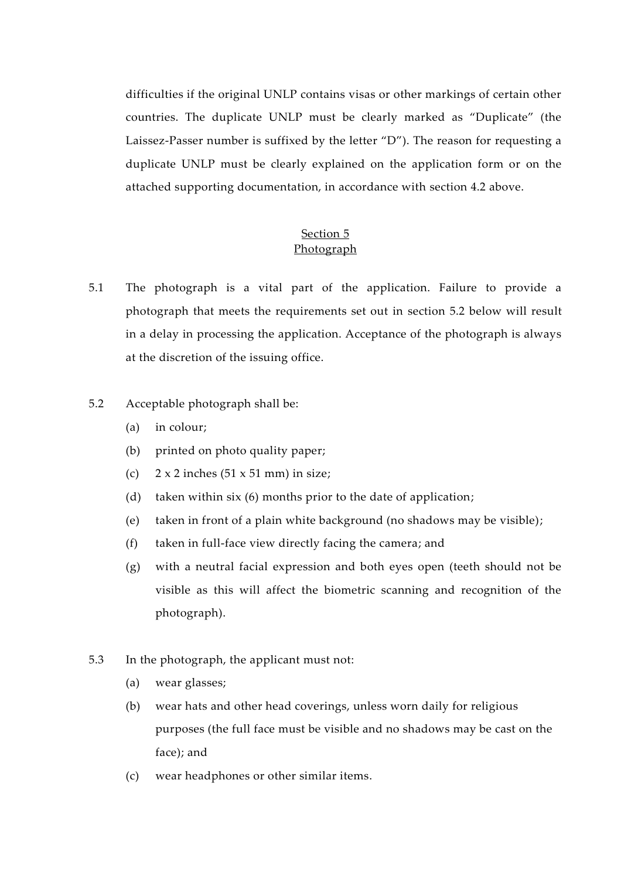difficulties if the original UNLP contains visas or other markings of certain other countries. The duplicate UNLP must be clearly marked as "Duplicate" (the Laissez-Passer number is suffixed by the letter "D"). The reason for requesting a duplicate UNLP must be clearly explained on the application form or on the attached supporting documentation, in accordance with section 4.2 above.

# Section 5 Photograph

- 5.1 The photograph is a vital part of the application. Failure to provide a photograph that meets the requirements set out in section 5.2 below will result in a delay in processing the application. Acceptance of the photograph is always at the discretion of the issuing office.
- 5.2 Acceptable photograph shall be:
	- (a) in colour;
	- (b) printed on photo quality paper;
	- (c)  $2 \times 2$  inches (51 x 51 mm) in size;
	- (d) taken within six (6) months prior to the date of application;
	- (e) taken in front of a plain white background (no shadows may be visible);
	- (f) taken in full-face view directly facing the camera; and
	- (g) with a neutral facial expression and both eyes open (teeth should not be visible as this will affect the biometric scanning and recognition of the photograph).
- 5.3 In the photograph, the applicant must not:
	- (a) wear glasses;
	- (b) wear hats and other head coverings, unless worn daily for religious purposes (the full face must be visible and no shadows may be cast on the face); and
	- (c) wear headphones or other similar items.